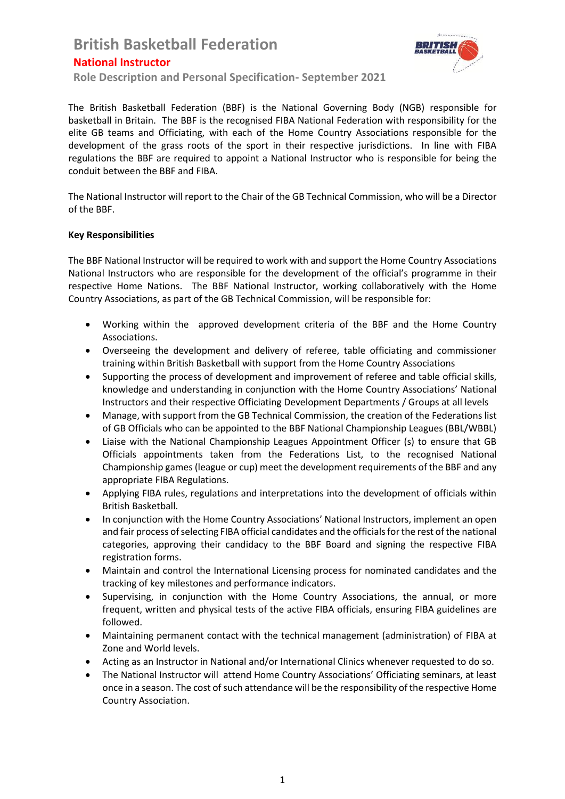## **British Basketball Federation**



#### **National Instructor**

**Role Description and Personal Specification- September 2021**

The British Basketball Federation (BBF) is the National Governing Body (NGB) responsible for basketball in Britain. The BBF is the recognised FIBA National Federation with responsibility for the elite GB teams and Officiating, with each of the Home Country Associations responsible for the development of the grass roots of the sport in their respective jurisdictions. In line with FIBA regulations the BBF are required to appoint a National Instructor who is responsible for being the conduit between the BBF and FIBA.

The National Instructor will report to the Chair of the GB Technical Commission, who will be a Director of the BBF.

#### **Key Responsibilities**

The BBF National Instructor will be required to work with and support the Home Country Associations National Instructors who are responsible for the development of the official's programme in their respective Home Nations. The BBF National Instructor, working collaboratively with the Home Country Associations, as part of the GB Technical Commission, will be responsible for:

- Working within the approved development criteria of the BBF and the Home Country Associations.
- Overseeing the development and delivery of referee, table officiating and commissioner training within British Basketball with support from the Home Country Associations
- Supporting the process of development and improvement of referee and table official skills, knowledge and understanding in conjunction with the Home Country Associations' National Instructors and their respective Officiating Development Departments / Groups at all levels
- Manage, with support from the GB Technical Commission, the creation of the Federations list of GB Officials who can be appointed to the BBF National Championship Leagues (BBL/WBBL)
- Liaise with the National Championship Leagues Appointment Officer (s) to ensure that GB Officials appointments taken from the Federations List, to the recognised National Championship games (league or cup) meet the development requirements of the BBF and any appropriate FIBA Regulations.
- Applying FIBA rules, regulations and interpretations into the development of officials within British Basketball.
- In conjunction with the Home Country Associations' National Instructors, implement an open and fair process of selecting FIBA official candidates and the officials for the rest of the national categories, approving their candidacy to the BBF Board and signing the respective FIBA registration forms.
- Maintain and control the International Licensing process for nominated candidates and the tracking of key milestones and performance indicators.
- Supervising, in conjunction with the Home Country Associations, the annual, or more frequent, written and physical tests of the active FIBA officials, ensuring FIBA guidelines are followed.
- Maintaining permanent contact with the technical management (administration) of FIBA at Zone and World levels.
- Acting as an Instructor in National and/or International Clinics whenever requested to do so.
- The National Instructor will attend Home Country Associations' Officiating seminars, at least once in a season. The cost of such attendance will be the responsibility of the respective Home Country Association.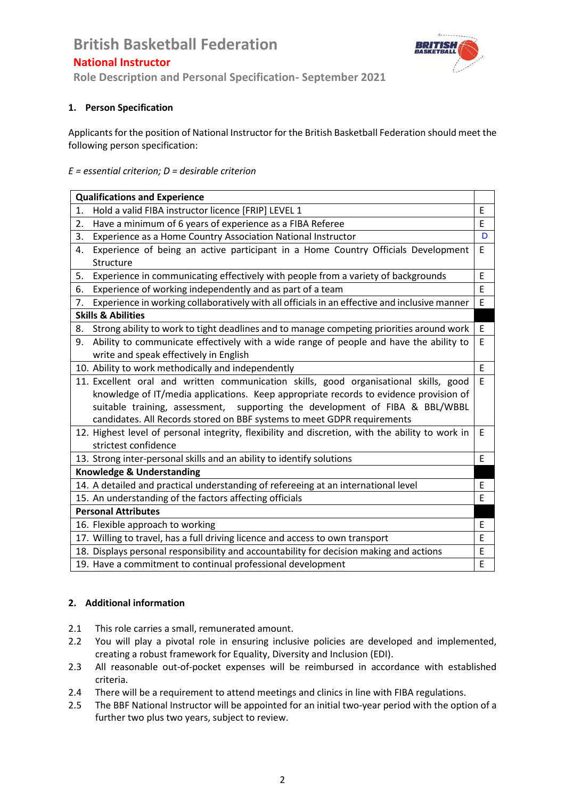### **British Basketball Federation**



#### **National Instructor**

**Role Description and Personal Specification- September 2021**

#### **1. Person Specification**

Applicants for the position of National Instructor for the British Basketball Federation should meet the following person specification:

#### *E = essential criterion; D = desirable criterion*

| <b>Qualifications and Experience</b>                                                                |   |
|-----------------------------------------------------------------------------------------------------|---|
| Hold a valid FIBA instructor licence [FRIP] LEVEL 1<br>1.                                           | Ε |
| Have a minimum of 6 years of experience as a FIBA Referee<br>2.                                     | E |
| Experience as a Home Country Association National Instructor<br>3.                                  | D |
| Experience of being an active participant in a Home Country Officials Development<br>4.             | E |
| Structure                                                                                           |   |
| Experience in communicating effectively with people from a variety of backgrounds<br>5.             | E |
| Experience of working independently and as part of a team<br>6.                                     | E |
| Experience in working collaboratively with all officials in an effective and inclusive manner<br>7. | E |
| <b>Skills &amp; Abilities</b>                                                                       |   |
| Strong ability to work to tight deadlines and to manage competing priorities around work<br>8.      | Ε |
| Ability to communicate effectively with a wide range of people and have the ability to<br>9.        | E |
| write and speak effectively in English                                                              |   |
| 10. Ability to work methodically and independently                                                  | E |
| 11. Excellent oral and written communication skills, good organisational skills, good               | E |
| knowledge of IT/media applications. Keep appropriate records to evidence provision of               |   |
| suitable training, assessment, supporting the development of FIBA & BBL/WBBL                        |   |
| candidates. All Records stored on BBF systems to meet GDPR requirements                             |   |
| 12. Highest level of personal integrity, flexibility and discretion, with the ability to work in    | Ε |
| strictest confidence                                                                                |   |
| 13. Strong inter-personal skills and an ability to identify solutions                               | E |
| Knowledge & Understanding                                                                           |   |
| 14. A detailed and practical understanding of refereeing at an international level                  | E |
| 15. An understanding of the factors affecting officials                                             | E |
| <b>Personal Attributes</b>                                                                          |   |
| 16. Flexible approach to working                                                                    | Е |
| 17. Willing to travel, has a full driving licence and access to own transport                       | E |
| 18. Displays personal responsibility and accountability for decision making and actions             | Ε |
| 19. Have a commitment to continual professional development                                         | E |

#### **2. Additional information**

- 2.1 This role carries a small, remunerated amount.
- 2.2 You will play a pivotal role in ensuring inclusive policies are developed and implemented, creating a robust framework for Equality, Diversity and Inclusion (EDI).
- 2.3 All reasonable out-of-pocket expenses will be reimbursed in accordance with established criteria.
- 2.4 There will be a requirement to attend meetings and clinics in line with FIBA regulations.
- 2.5 The BBF National Instructor will be appointed for an initial two-year period with the option of a further two plus two years, subject to review.